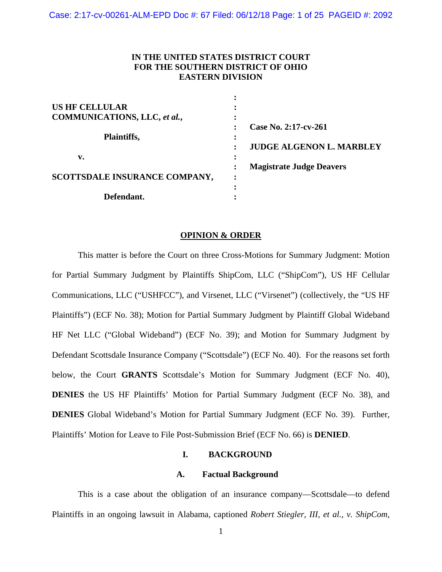# **IN THE UNITED STATES DISTRICT COURT FOR THE SOUTHERN DISTRICT OF OHIO EASTERN DIVISION**

| <b>US HF CELLULAR</b>         |                                 |
|-------------------------------|---------------------------------|
| COMMUNICATIONS, LLC, et al.,  |                                 |
|                               | Case No. 2:17-cv-261            |
| Plaintiffs,                   |                                 |
|                               | <b>JUDGE ALGENON L. MARBLEY</b> |
| v.                            |                                 |
|                               | <b>Magistrate Judge Deavers</b> |
| SCOTTSDALE INSURANCE COMPANY, |                                 |
|                               |                                 |
| Defendant.                    |                                 |

#### **OPINION & ORDER**

 This matter is before the Court on three Cross-Motions for Summary Judgment: Motion for Partial Summary Judgment by Plaintiffs ShipCom, LLC ("ShipCom"), US HF Cellular Communications, LLC ("USHFCC"), and Virsenet, LLC ("Virsenet") (collectively, the "US HF Plaintiffs") (ECF No. 38); Motion for Partial Summary Judgment by Plaintiff Global Wideband HF Net LLC ("Global Wideband") (ECF No. 39); and Motion for Summary Judgment by Defendant Scottsdale Insurance Company ("Scottsdale") (ECF No. 40). For the reasons set forth below, the Court **GRANTS** Scottsdale's Motion for Summary Judgment (ECF No. 40), **DENIES** the US HF Plaintiffs' Motion for Partial Summary Judgment (ECF No. 38), and **DENIES** Global Wideband's Motion for Partial Summary Judgment (ECF No. 39). Further, Plaintiffs' Motion for Leave to File Post-Submission Brief (ECF No. 66) is **DENIED**.

# **I. BACKGROUND**

# **A. Factual Background**

This is a case about the obligation of an insurance company—Scottsdale—to defend Plaintiffs in an ongoing lawsuit in Alabama, captioned *Robert Stiegler, III, et al., v. ShipCom,*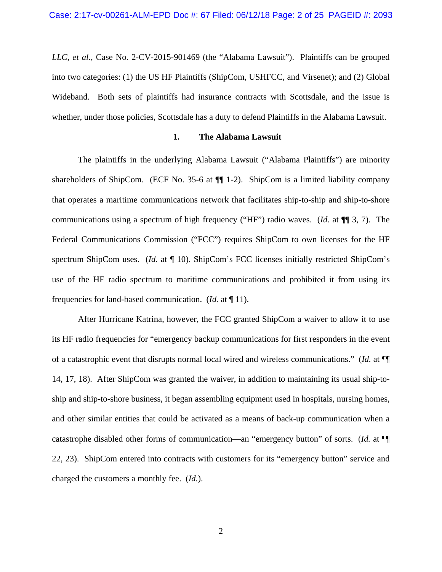*LLC, et al.*, Case No. 2-CV-2015-901469 (the "Alabama Lawsuit"). Plaintiffs can be grouped into two categories: (1) the US HF Plaintiffs (ShipCom, USHFCC, and Virsenet); and (2) Global Wideband. Both sets of plaintiffs had insurance contracts with Scottsdale, and the issue is whether, under those policies, Scottsdale has a duty to defend Plaintiffs in the Alabama Lawsuit.

## **1. The Alabama Lawsuit**

The plaintiffs in the underlying Alabama Lawsuit ("Alabama Plaintiffs") are minority shareholders of ShipCom. (ECF No. 35-6 at ¶¶ 1-2). ShipCom is a limited liability company that operates a maritime communications network that facilitates ship-to-ship and ship-to-shore communications using a spectrum of high frequency ("HF") radio waves. (*Id.* at ¶¶ 3, 7). The Federal Communications Commission ("FCC") requires ShipCom to own licenses for the HF spectrum ShipCom uses. (*Id.* at  $\P$  10). ShipCom's FCC licenses initially restricted ShipCom's use of the HF radio spectrum to maritime communications and prohibited it from using its frequencies for land-based communication. (*Id.* at ¶ 11).

After Hurricane Katrina, however, the FCC granted ShipCom a waiver to allow it to use its HF radio frequencies for "emergency backup communications for first responders in the event of a catastrophic event that disrupts normal local wired and wireless communications." (*Id.* at ¶¶ 14, 17, 18). After ShipCom was granted the waiver, in addition to maintaining its usual ship-toship and ship-to-shore business, it began assembling equipment used in hospitals, nursing homes, and other similar entities that could be activated as a means of back-up communication when a catastrophe disabled other forms of communication—an "emergency button" of sorts. (*Id.* at ¶¶ 22, 23). ShipCom entered into contracts with customers for its "emergency button" service and charged the customers a monthly fee. (*Id.*).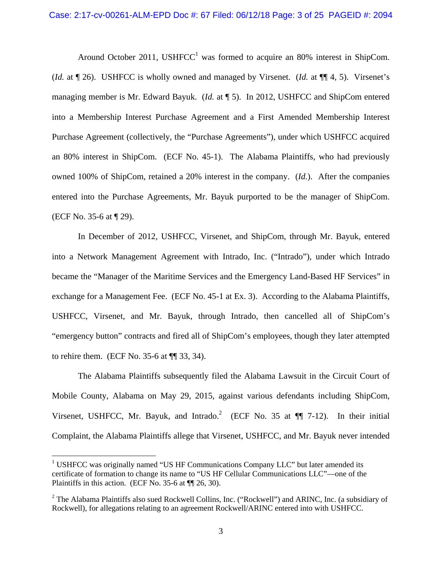Around October 2011, USHFCC<sup>1</sup> was formed to acquire an 80% interest in ShipCom. (*Id.* at ¶ 26). USHFCC is wholly owned and managed by Virsenet. (*Id.* at ¶¶ 4, 5). Virsenet's managing member is Mr. Edward Bayuk. (*Id.* at ¶ 5). In 2012, USHFCC and ShipCom entered into a Membership Interest Purchase Agreement and a First Amended Membership Interest Purchase Agreement (collectively, the "Purchase Agreements"), under which USHFCC acquired an 80% interest in ShipCom. (ECF No. 45-1). The Alabama Plaintiffs, who had previously owned 100% of ShipCom, retained a 20% interest in the company. (*Id.*). After the companies entered into the Purchase Agreements, Mr. Bayuk purported to be the manager of ShipCom. (ECF No. 35-6 at ¶ 29).

In December of 2012, USHFCC, Virsenet, and ShipCom, through Mr. Bayuk, entered into a Network Management Agreement with Intrado, Inc. ("Intrado"), under which Intrado became the "Manager of the Maritime Services and the Emergency Land-Based HF Services" in exchange for a Management Fee. (ECF No. 45-1 at Ex. 3). According to the Alabama Plaintiffs, USHFCC, Virsenet, and Mr. Bayuk, through Intrado, then cancelled all of ShipCom's "emergency button" contracts and fired all of ShipCom's employees, though they later attempted to rehire them. (ECF No. 35-6 at ¶¶ 33, 34).

The Alabama Plaintiffs subsequently filed the Alabama Lawsuit in the Circuit Court of Mobile County, Alabama on May 29, 2015, against various defendants including ShipCom, Virsenet, USHFCC, Mr. Bayuk, and Intrado.<sup>2</sup> (ECF No. 35 at  $\P\P$  7-12). In their initial Complaint, the Alabama Plaintiffs allege that Virsenet, USHFCC, and Mr. Bayuk never intended

 $\overline{a}$ 

<sup>&</sup>lt;sup>1</sup> USHFCC was originally named "US HF Communications Company LLC" but later amended its certificate of formation to change its name to "US HF Cellular Communications LLC"—one of the Plaintiffs in this action. (ECF No. 35-6 at ¶¶ 26, 30).

 $2$  The Alabama Plaintiffs also sued Rockwell Collins, Inc. ("Rockwell") and ARINC, Inc. (a subsidiary of Rockwell), for allegations relating to an agreement Rockwell/ARINC entered into with USHFCC.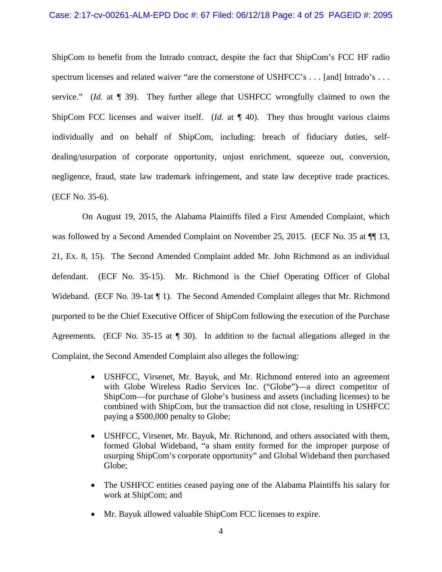## Case: 2:17-cv-00261-ALM-EPD Doc #: 67 Filed: 06/12/18 Page: 4 of 25 PAGEID #: 2095

ShipCom to benefit from the Intrado contract, despite the fact that ShipCom's FCC HF radio spectrum licenses and related waiver "are the cornerstone of USHFCC's . . . [and] Intrado's . . . service." (*Id.* at ¶ 39). They further allege that USHFCC wrongfully claimed to own the ShipCom FCC licenses and waiver itself. (*Id.* at  $\P$  40). They thus brought various claims individually and on behalf of ShipCom, including: breach of fiduciary duties, selfdealing/usurpation of corporate opportunity, unjust enrichment, squeeze out, conversion, negligence, fraud, state law trademark infringement, and state law deceptive trade practices. (ECF No. 35-6).

 On August 19, 2015, the Alabama Plaintiffs filed a First Amended Complaint, which was followed by a Second Amended Complaint on November 25, 2015. (ECF No. 35 at  $\P$  13, 21, Ex. 8, 15). The Second Amended Complaint added Mr. John Richmond as an individual defendant. (ECF No. 35-15). Mr. Richmond is the Chief Operating Officer of Global Wideband. (ECF No. 39-1at ¶ 1). The Second Amended Complaint alleges that Mr. Richmond purported to be the Chief Executive Officer of ShipCom following the execution of the Purchase Agreements. (ECF No. 35-15 at ¶ 30). In addition to the factual allegations alleged in the Complaint, the Second Amended Complaint also alleges the following:

- USHFCC, Virsenet, Mr. Bayuk, and Mr. Richmond entered into an agreement with Globe Wireless Radio Services Inc. ("Globe")—a direct competitor of ShipCom—for purchase of Globe's business and assets (including licenses) to be combined with ShipCom, but the transaction did not close, resulting in USHFCC paying a \$500,000 penalty to Globe;
- USHFCC, Virsenet, Mr. Bayuk, Mr. Richmond, and others associated with them, formed Global Wideband, "a sham entity formed for the improper purpose of usurping ShipCom's corporate opportunity" and Global Wideband then purchased Globe;
- The USHFCC entities ceased paying one of the Alabama Plaintiffs his salary for work at ShipCom; and
- Mr. Bayuk allowed valuable ShipCom FCC licenses to expire.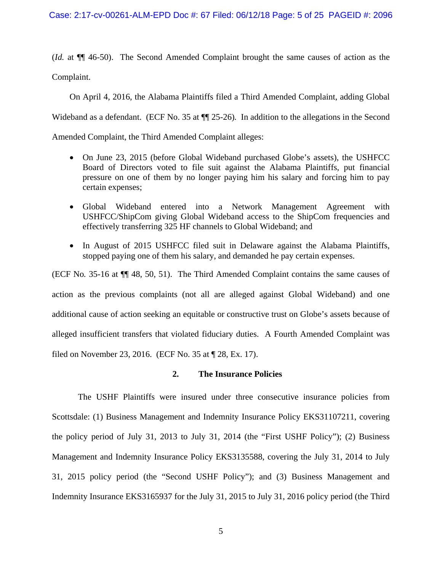(*Id.* at ¶¶ 46-50). The Second Amended Complaint brought the same causes of action as the Complaint.

On April 4, 2016, the Alabama Plaintiffs filed a Third Amended Complaint, adding Global

Wideband as a defendant. (ECF No. 35 at  $\P$  25-26). In addition to the allegations in the Second

Amended Complaint, the Third Amended Complaint alleges:

- On June 23, 2015 (before Global Wideband purchased Globe's assets), the USHFCC Board of Directors voted to file suit against the Alabama Plaintiffs, put financial pressure on one of them by no longer paying him his salary and forcing him to pay certain expenses;
- Global Wideband entered into a Network Management Agreement with USHFCC/ShipCom giving Global Wideband access to the ShipCom frequencies and effectively transferring 325 HF channels to Global Wideband; and
- In August of 2015 USHFCC filed suit in Delaware against the Alabama Plaintiffs, stopped paying one of them his salary, and demanded he pay certain expenses.

(ECF No*.* 35-16 at ¶¶ 48, 50, 51). The Third Amended Complaint contains the same causes of action as the previous complaints (not all are alleged against Global Wideband) and one additional cause of action seeking an equitable or constructive trust on Globe's assets because of alleged insufficient transfers that violated fiduciary duties. A Fourth Amended Complaint was filed on November 23, 2016. (ECF No. 35 at ¶ 28, Ex. 17).

# **2. The Insurance Policies**

The USHF Plaintiffs were insured under three consecutive insurance policies from Scottsdale: (1) Business Management and Indemnity Insurance Policy EKS31107211, covering the policy period of July 31, 2013 to July 31, 2014 (the "First USHF Policy"); (2) Business Management and Indemnity Insurance Policy EKS3135588, covering the July 31, 2014 to July 31, 2015 policy period (the "Second USHF Policy"); and (3) Business Management and Indemnity Insurance EKS3165937 for the July 31, 2015 to July 31, 2016 policy period (the Third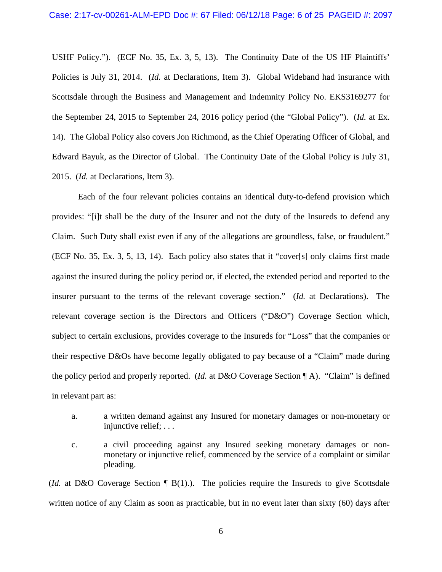USHF Policy."). (ECF No. 35, Ex. 3, 5, 13). The Continuity Date of the US HF Plaintiffs' Policies is July 31, 2014. (*Id.* at Declarations, Item 3). Global Wideband had insurance with Scottsdale through the Business and Management and Indemnity Policy No. EKS3169277 for the September 24, 2015 to September 24, 2016 policy period (the "Global Policy"). (*Id.* at Ex. 14). The Global Policy also covers Jon Richmond, as the Chief Operating Officer of Global, and Edward Bayuk, as the Director of Global. The Continuity Date of the Global Policy is July 31, 2015. (*Id.* at Declarations, Item 3).

 Each of the four relevant policies contains an identical duty-to-defend provision which provides: "[i]t shall be the duty of the Insurer and not the duty of the Insureds to defend any Claim. Such Duty shall exist even if any of the allegations are groundless, false, or fraudulent." (ECF No. 35, Ex. 3, 5, 13, 14). Each policy also states that it "cover[s] only claims first made against the insured during the policy period or, if elected, the extended period and reported to the insurer pursuant to the terms of the relevant coverage section." (*Id.* at Declarations). The relevant coverage section is the Directors and Officers ("D&O") Coverage Section which, subject to certain exclusions, provides coverage to the Insureds for "Loss" that the companies or their respective D&Os have become legally obligated to pay because of a "Claim" made during the policy period and properly reported. (*Id.* at D&O Coverage Section ¶ A). "Claim" is defined in relevant part as:

- a. a written demand against any Insured for monetary damages or non-monetary or injunctive relief; . . .
- c. a civil proceeding against any Insured seeking monetary damages or nonmonetary or injunctive relief, commenced by the service of a complaint or similar pleading.

(*Id.* at D&O Coverage Section  $\P$  B(1).). The policies require the Insureds to give Scottsdale written notice of any Claim as soon as practicable, but in no event later than sixty (60) days after

6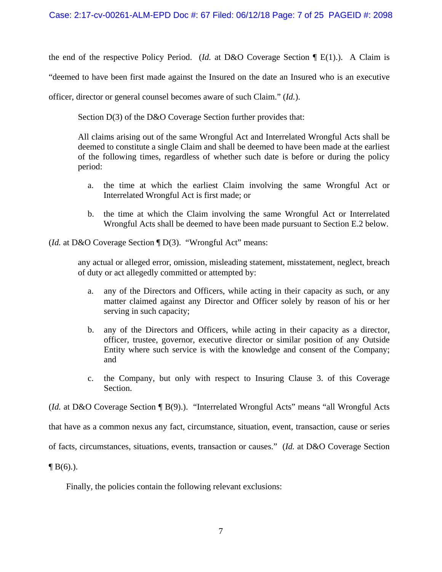the end of the respective Policy Period. (*Id.* at D&O Coverage Section  $\P$  E(1).). A Claim is "deemed to have been first made against the Insured on the date an Insured who is an executive officer, director or general counsel becomes aware of such Claim." (*Id.*).

Section D(3) of the D&O Coverage Section further provides that:

All claims arising out of the same Wrongful Act and Interrelated Wrongful Acts shall be deemed to constitute a single Claim and shall be deemed to have been made at the earliest of the following times, regardless of whether such date is before or during the policy period:

- a. the time at which the earliest Claim involving the same Wrongful Act or Interrelated Wrongful Act is first made; or
- b. the time at which the Claim involving the same Wrongful Act or Interrelated Wrongful Acts shall be deemed to have been made pursuant to Section E.2 below.

(*Id.* at D&O Coverage Section ¶ D(3). "Wrongful Act" means:

any actual or alleged error, omission, misleading statement, misstatement, neglect, breach of duty or act allegedly committed or attempted by:

- a. any of the Directors and Officers, while acting in their capacity as such, or any matter claimed against any Director and Officer solely by reason of his or her serving in such capacity;
- b. any of the Directors and Officers, while acting in their capacity as a director, officer, trustee, governor, executive director or similar position of any Outside Entity where such service is with the knowledge and consent of the Company; and
- c. the Company, but only with respect to Insuring Clause 3. of this Coverage Section.

(*Id.* at D&O Coverage Section ¶ B(9).). "Interrelated Wrongful Acts" means "all Wrongful Acts

that have as a common nexus any fact, circumstance, situation, event, transaction, cause or series

of facts, circumstances, situations, events, transaction or causes." (*Id.* at D&O Coverage Section

 $\P B(6)$ .).

Finally, the policies contain the following relevant exclusions: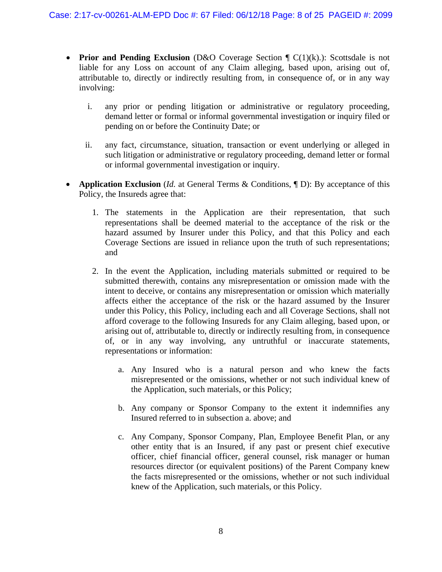- **Prior and Pending Exclusion** (D&O Coverage Section  $\mathbb{F}$  C(1)(k).): Scottsdale is not liable for any Loss on account of any Claim alleging, based upon, arising out of, attributable to, directly or indirectly resulting from, in consequence of, or in any way involving:
	- i. any prior or pending litigation or administrative or regulatory proceeding, demand letter or formal or informal governmental investigation or inquiry filed or pending on or before the Continuity Date; or
	- ii. any fact, circumstance, situation, transaction or event underlying or alleged in such litigation or administrative or regulatory proceeding, demand letter or formal or informal governmental investigation or inquiry.
- **Application Exclusion** (*Id.* at General Terms & Conditions,  $\P$  D): By acceptance of this Policy, the Insureds agree that:
	- 1. The statements in the Application are their representation, that such representations shall be deemed material to the acceptance of the risk or the hazard assumed by Insurer under this Policy, and that this Policy and each Coverage Sections are issued in reliance upon the truth of such representations; and
	- 2. In the event the Application, including materials submitted or required to be submitted therewith, contains any misrepresentation or omission made with the intent to deceive, or contains any misrepresentation or omission which materially affects either the acceptance of the risk or the hazard assumed by the Insurer under this Policy, this Policy, including each and all Coverage Sections, shall not afford coverage to the following Insureds for any Claim alleging, based upon, or arising out of, attributable to, directly or indirectly resulting from, in consequence of, or in any way involving, any untruthful or inaccurate statements, representations or information:
		- a. Any Insured who is a natural person and who knew the facts misrepresented or the omissions, whether or not such individual knew of the Application, such materials, or this Policy;
		- b. Any company or Sponsor Company to the extent it indemnifies any Insured referred to in subsection a. above; and
		- c. Any Company, Sponsor Company, Plan, Employee Benefit Plan, or any other entity that is an Insured, if any past or present chief executive officer, chief financial officer, general counsel, risk manager or human resources director (or equivalent positions) of the Parent Company knew the facts misrepresented or the omissions, whether or not such individual knew of the Application, such materials, or this Policy.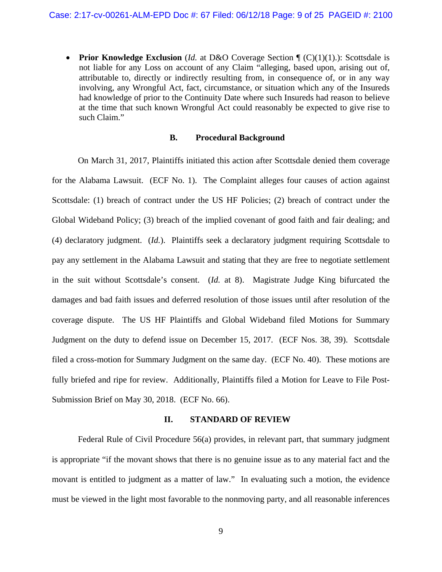• **Prior Knowledge Exclusion** (*Id.* at D&O Coverage Section  $\P$  (C)(1)(1).): Scottsdale is not liable for any Loss on account of any Claim "alleging, based upon, arising out of, attributable to, directly or indirectly resulting from, in consequence of, or in any way involving, any Wrongful Act, fact, circumstance, or situation which any of the Insureds had knowledge of prior to the Continuity Date where such Insureds had reason to believe at the time that such known Wrongful Act could reasonably be expected to give rise to such Claim."

### **B. Procedural Background**

On March 31, 2017, Plaintiffs initiated this action after Scottsdale denied them coverage for the Alabama Lawsuit. (ECF No. 1). The Complaint alleges four causes of action against Scottsdale: (1) breach of contract under the US HF Policies; (2) breach of contract under the Global Wideband Policy; (3) breach of the implied covenant of good faith and fair dealing; and (4) declaratory judgment. (*Id.*). Plaintiffs seek a declaratory judgment requiring Scottsdale to pay any settlement in the Alabama Lawsuit and stating that they are free to negotiate settlement in the suit without Scottsdale's consent. (*Id.* at 8). Magistrate Judge King bifurcated the damages and bad faith issues and deferred resolution of those issues until after resolution of the coverage dispute. The US HF Plaintiffs and Global Wideband filed Motions for Summary Judgment on the duty to defend issue on December 15, 2017. (ECF Nos. 38, 39). Scottsdale filed a cross-motion for Summary Judgment on the same day. (ECF No. 40). These motions are fully briefed and ripe for review. Additionally, Plaintiffs filed a Motion for Leave to File Post-Submission Brief on May 30, 2018. (ECF No. 66).

### **II. STANDARD OF REVIEW**

Federal Rule of Civil Procedure 56(a) provides, in relevant part, that summary judgment is appropriate "if the movant shows that there is no genuine issue as to any material fact and the movant is entitled to judgment as a matter of law." In evaluating such a motion, the evidence must be viewed in the light most favorable to the nonmoving party, and all reasonable inferences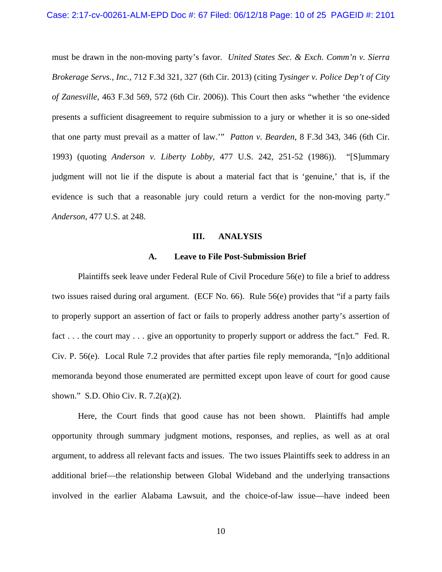must be drawn in the non-moving party's favor. *United States Sec. & Exch. Comm'n v. Sierra Brokerage Servs., Inc.*, 712 F.3d 321, 327 (6th Cir. 2013) (citing *Tysinger v. Police Dep't of City of Zanesville*, 463 F.3d 569, 572 (6th Cir. 2006)). This Court then asks "whether 'the evidence presents a sufficient disagreement to require submission to a jury or whether it is so one-sided that one party must prevail as a matter of law.'" *Patton v. Bearden,* 8 F.3d 343, 346 (6th Cir. 1993) (quoting *Anderson v. Liberty Lobby,* 477 U.S. 242, 251-52 (1986)). "[S]ummary judgment will not lie if the dispute is about a material fact that is 'genuine,' that is, if the evidence is such that a reasonable jury could return a verdict for the non-moving party." *Anderson*, 477 U.S. at 248.

### **III. ANALYSIS**

### **A. Leave to File Post-Submission Brief**

Plaintiffs seek leave under Federal Rule of Civil Procedure 56(e) to file a brief to address two issues raised during oral argument. (ECF No. 66). Rule 56(e) provides that "if a party fails to properly support an assertion of fact or fails to properly address another party's assertion of fact . . . the court may . . . give an opportunity to properly support or address the fact." Fed. R. Civ. P. 56(e). Local Rule 7.2 provides that after parties file reply memoranda, "[n]o additional memoranda beyond those enumerated are permitted except upon leave of court for good cause shown." S.D. Ohio Civ. R. 7.2(a)(2).

Here, the Court finds that good cause has not been shown. Plaintiffs had ample opportunity through summary judgment motions, responses, and replies, as well as at oral argument, to address all relevant facts and issues. The two issues Plaintiffs seek to address in an additional brief—the relationship between Global Wideband and the underlying transactions involved in the earlier Alabama Lawsuit, and the choice-of-law issue—have indeed been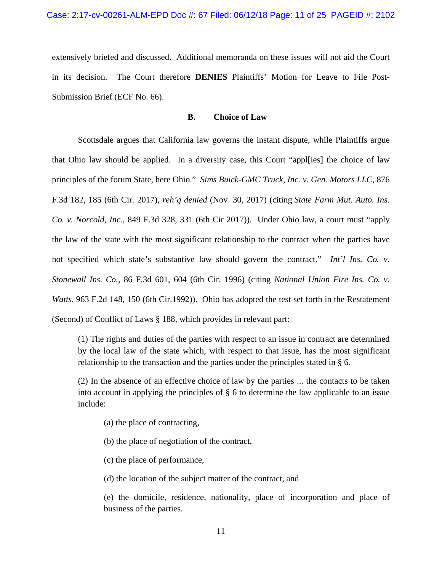extensively briefed and discussed. Additional memoranda on these issues will not aid the Court in its decision. The Court therefore **DENIES** Plaintiffs' Motion for Leave to File Post-Submission Brief (ECF No. 66).

# **B. Choice of Law**

Scottsdale argues that California law governs the instant dispute, while Plaintiffs argue that Ohio law should be applied. In a diversity case, this Court "appl[ies] the choice of law principles of the forum State, here Ohio." *Sims Buick-GMC Truck, Inc. v. Gen. Motors LLC*, 876 F.3d 182, 185 (6th Cir. 2017), *reh'g denied* (Nov. 30, 2017) (citing *State Farm Mut. Auto. Ins. Co. v. Norcold, Inc.*, 849 F.3d 328, 331 (6th Cir 2017)). Under Ohio law, a court must "apply the law of the state with the most significant relationship to the contract when the parties have not specified which state's substantive law should govern the contract." *Int'l Ins. Co. v. Stonewall Ins. Co.*, 86 F.3d 601, 604 (6th Cir. 1996) (citing *National Union Fire Ins. Co. v. Watts,* 963 F.2d 148, 150 (6th Cir.1992)). Ohio has adopted the test set forth in the Restatement (Second) of Conflict of Laws § 188, which provides in relevant part:

(1) The rights and duties of the parties with respect to an issue in contract are determined by the local law of the state which, with respect to that issue, has the most significant relationship to the transaction and the parties under the principles stated in § 6.

(2) In the absence of an effective choice of law by the parties ... the contacts to be taken into account in applying the principles of § 6 to determine the law applicable to an issue include:

- (a) the place of contracting,
- (b) the place of negotiation of the contract,
- (c) the place of performance,

(d) the location of the subject matter of the contract, and

(e) the domicile, residence, nationality, place of incorporation and place of business of the parties.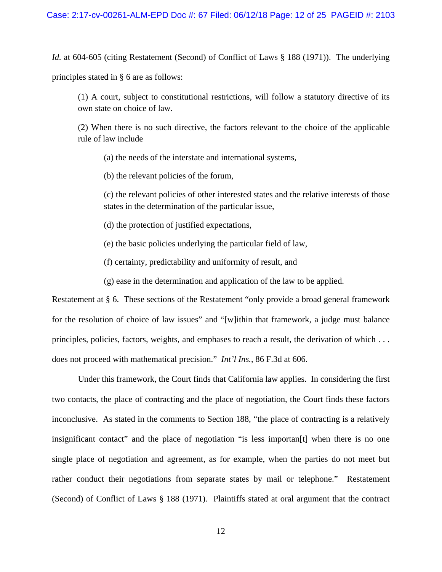*Id.* at 604-605 (citing Restatement (Second) of Conflict of Laws § 188 (1971)). The underlying principles stated in § 6 are as follows:

(1) A court, subject to constitutional restrictions, will follow a statutory directive of its own state on choice of law.

(2) When there is no such directive, the factors relevant to the choice of the applicable rule of law include

(a) the needs of the interstate and international systems,

(b) the relevant policies of the forum,

(c) the relevant policies of other interested states and the relative interests of those states in the determination of the particular issue,

(d) the protection of justified expectations,

(e) the basic policies underlying the particular field of law,

(f) certainty, predictability and uniformity of result, and

(g) ease in the determination and application of the law to be applied.

Restatement at § 6. These sections of the Restatement "only provide a broad general framework for the resolution of choice of law issues" and "[w]ithin that framework, a judge must balance principles, policies, factors, weights, and emphases to reach a result, the derivation of which . . . does not proceed with mathematical precision." *Int'l Ins.*, 86 F.3d at 606.

Under this framework, the Court finds that California law applies. In considering the first two contacts, the place of contracting and the place of negotiation, the Court finds these factors inconclusive. As stated in the comments to Section 188, "the place of contracting is a relatively insignificant contact" and the place of negotiation "is less importan[t] when there is no one single place of negotiation and agreement, as for example, when the parties do not meet but rather conduct their negotiations from separate states by mail or telephone." Restatement (Second) of Conflict of Laws § 188 (1971). Plaintiffs stated at oral argument that the contract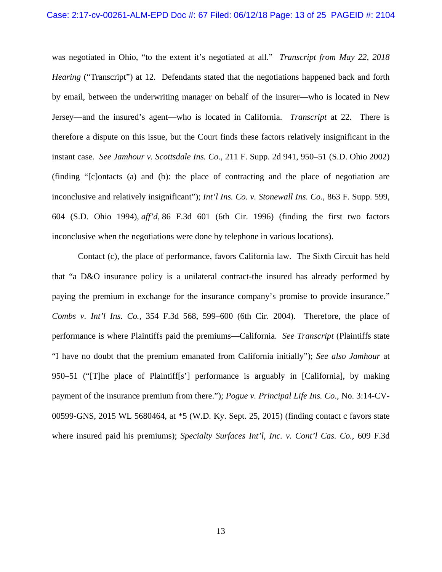#### Case: 2:17-cv-00261-ALM-EPD Doc #: 67 Filed: 06/12/18 Page: 13 of 25 PAGEID #: 2104

was negotiated in Ohio, "to the extent it's negotiated at all." *Transcript from May 22, 2018 Hearing* ("Transcript") at 12. Defendants stated that the negotiations happened back and forth by email, between the underwriting manager on behalf of the insurer—who is located in New Jersey—and the insured's agent—who is located in California. *Transcript* at 22. There is therefore a dispute on this issue, but the Court finds these factors relatively insignificant in the instant case. *See Jamhour v. Scottsdale Ins. Co.*, 211 F. Supp. 2d 941, 950–51 (S.D. Ohio 2002) (finding "[c]ontacts (a) and (b): the place of contracting and the place of negotiation are inconclusive and relatively insignificant"); *Int'l Ins. Co. v. Stonewall Ins. Co.*, 863 F. Supp. 599, 604 (S.D. Ohio 1994), *aff'd,* 86 F.3d 601 (6th Cir. 1996) (finding the first two factors inconclusive when the negotiations were done by telephone in various locations).

Contact (c), the place of performance, favors California law. The Sixth Circuit has held that "a D&O insurance policy is a unilateral contract-the insured has already performed by paying the premium in exchange for the insurance company's promise to provide insurance." *Combs v. Int'l Ins. Co.*, 354 F.3d 568, 599–600 (6th Cir. 2004). Therefore, the place of performance is where Plaintiffs paid the premiums—California. *See Transcript* (Plaintiffs state "I have no doubt that the premium emanated from California initially"); *See also Jamhour* at 950–51 ("[T]he place of Plaintiff[s'] performance is arguably in [California], by making payment of the insurance premium from there."); *Pogue v. Principal Life Ins. Co*., No. 3:14-CV-00599-GNS, 2015 WL 5680464, at \*5 (W.D. Ky. Sept. 25, 2015) (finding contact c favors state where insured paid his premiums); *Specialty Surfaces Int'l, Inc. v. Cont'l Cas. Co.*, 609 F.3d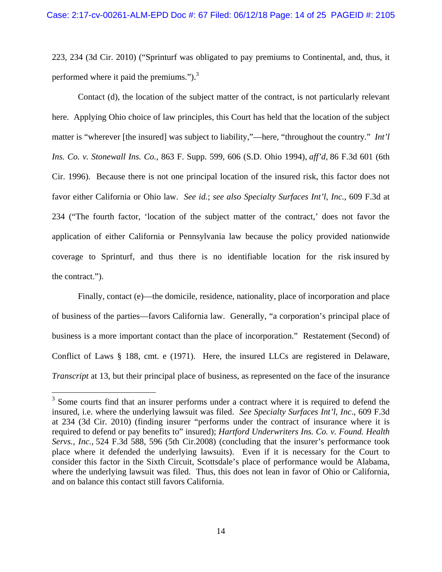223, 234 (3d Cir. 2010) ("Sprinturf was obligated to pay premiums to Continental, and, thus, it performed where it paid the premiums."). $3$ 

Contact (d), the location of the subject matter of the contract, is not particularly relevant here. Applying Ohio choice of law principles, this Court has held that the location of the subject matter is "wherever [the insured] was subject to liability,"—here, "throughout the country."*Int'l Ins. Co. v. Stonewall Ins. Co.*, 863 F. Supp. 599, 606 (S.D. Ohio 1994), *aff'd*, 86 F.3d 601 (6th Cir. 1996). Because there is not one principal location of the insured risk, this factor does not favor either California or Ohio law. *See id.*; *see also Specialty Surfaces Int'l, Inc.*, 609 F.3d at 234 ("The fourth factor, 'location of the subject matter of the contract,' does not favor the application of either California or Pennsylvania law because the policy provided nationwide coverage to Sprinturf, and thus there is no identifiable location for the risk insured by the contract.").

Finally, contact (e)—the domicile, residence, nationality, place of incorporation and place of business of the parties—favors California law. Generally, "a corporation's principal place of business is a more important contact than the place of incorporation." Restatement (Second) of Conflict of Laws § 188, cmt. e (1971). Here, the insured LLCs are registered in Delaware, *Transcript* at 13, but their principal place of business, as represented on the face of the insurance

<sup>&</sup>lt;sup>3</sup> Some courts find that an insurer performs under a contract where it is required to defend the insured, i.e. where the underlying lawsuit was filed. *See Specialty Surfaces Int'l, Inc*., 609 F.3d at 234 (3d Cir. 2010) (finding insurer "performs under the contract of insurance where it is required to defend or pay benefits to" insured); *Hartford Underwriters Ins. Co. v. Found. Health Servs., Inc.,* 524 F.3d 588, 596 (5th Cir.2008) (concluding that the insurer's performance took place where it defended the underlying lawsuits). Even if it is necessary for the Court to consider this factor in the Sixth Circuit, Scottsdale's place of performance would be Alabama, where the underlying lawsuit was filed. Thus, this does not lean in favor of Ohio or California, and on balance this contact still favors California.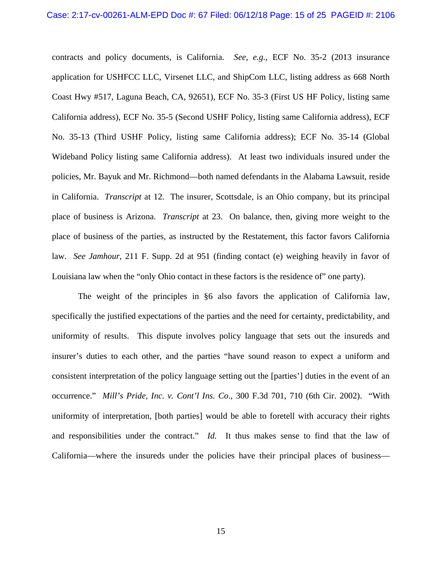contracts and policy documents, is California. *See, e.g.*, ECF No. 35-2 (2013 insurance application for USHFCC LLC, Virsenet LLC, and ShipCom LLC, listing address as 668 North Coast Hwy #517, Laguna Beach, CA, 92651), ECF No. 35-3 (First US HF Policy, listing same California address), ECF No. 35-5 (Second USHF Policy, listing same California address), ECF No. 35-13 (Third USHF Policy, listing same California address); ECF No. 35-14 (Global Wideband Policy listing same California address). At least two individuals insured under the policies, Mr. Bayuk and Mr. Richmond—both named defendants in the Alabama Lawsuit, reside in California. *Transcript* at 12. The insurer, Scottsdale, is an Ohio company, but its principal place of business is Arizona. *Transcript* at 23. On balance, then, giving more weight to the place of business of the parties, as instructed by the Restatement, this factor favors California law. *See Jamhour*, 211 F. Supp. 2d at 951 (finding contact (e) weighing heavily in favor of Louisiana law when the "only Ohio contact in these factors is the residence of" one party).

 The weight of the principles in §6 also favors the application of California law, specifically the justified expectations of the parties and the need for certainty, predictability, and uniformity of results. This dispute involves policy language that sets out the insureds and insurer's duties to each other, and the parties "have sound reason to expect a uniform and consistent interpretation of the policy language setting out the [parties'] duties in the event of an occurrence." *Mill's Pride, Inc. v. Cont'l Ins. Co*., 300 F.3d 701, 710 (6th Cir. 2002). "With uniformity of interpretation, [both parties] would be able to foretell with accuracy their rights and responsibilities under the contract." *Id.* It thus makes sense to find that the law of California—where the insureds under the policies have their principal places of business—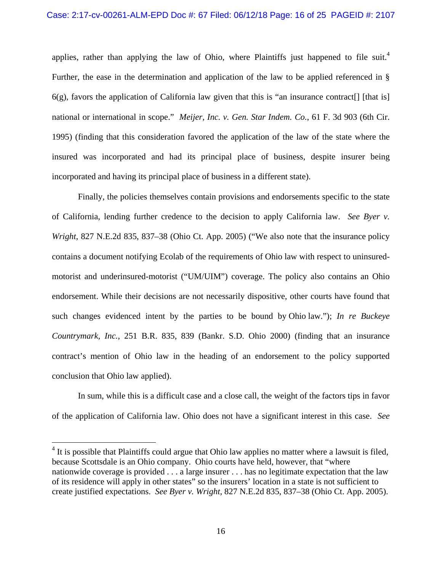## Case: 2:17-cv-00261-ALM-EPD Doc #: 67 Filed: 06/12/18 Page: 16 of 25 PAGEID #: 2107

applies, rather than applying the law of Ohio, where Plaintiffs just happened to file suit.<sup>4</sup> Further, the ease in the determination and application of the law to be applied referenced in §  $6(g)$ , favors the application of California law given that this is "an insurance contract[] [that is] national or international in scope." *Meijer, Inc. v. Gen. Star Indem. Co.*, 61 F. 3d 903 (6th Cir. 1995) (finding that this consideration favored the application of the law of the state where the insured was incorporated and had its principal place of business, despite insurer being incorporated and having its principal place of business in a different state).

 Finally, the policies themselves contain provisions and endorsements specific to the state of California, lending further credence to the decision to apply California law. *See Byer v. Wright*, 827 N.E.2d 835, 837–38 (Ohio Ct. App. 2005) ("We also note that the insurance policy contains a document notifying Ecolab of the requirements of Ohio law with respect to uninsuredmotorist and underinsured-motorist ("UM/UIM") coverage. The policy also contains an Ohio endorsement. While their decisions are not necessarily dispositive, other courts have found that such changes evidenced intent by the parties to be bound by Ohio law."); *In re Buckeye Countrymark, Inc.*, 251 B.R. 835, 839 (Bankr. S.D. Ohio 2000) (finding that an insurance contract's mention of Ohio law in the heading of an endorsement to the policy supported conclusion that Ohio law applied).

In sum, while this is a difficult case and a close call, the weight of the factors tips in favor of the application of California law. Ohio does not have a significant interest in this case. *See* 

 $4$  It is possible that Plaintiffs could argue that Ohio law applies no matter where a lawsuit is filed, because Scottsdale is an Ohio company. Ohio courts have held, however, that "where nationwide coverage is provided . . . a large insurer . . . has no legitimate expectation that the law of its residence will apply in other states" so the insurers' location in a state is not sufficient to create justified expectations. *See Byer v. Wright*, 827 N.E.2d 835, 837–38 (Ohio Ct. App. 2005).

 $\overline{a}$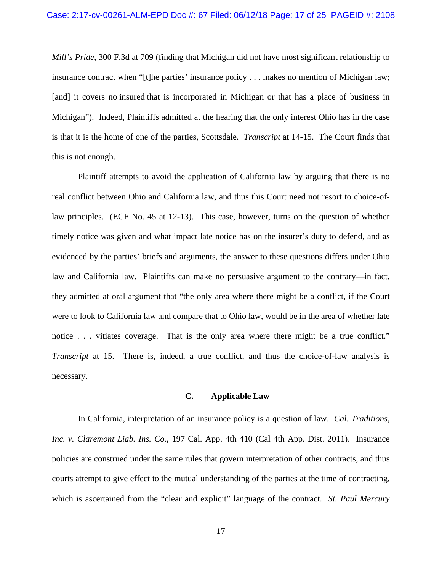*Mill's Pride*, 300 F.3d at 709 (finding that Michigan did not have most significant relationship to insurance contract when "[t]he parties' insurance policy . . . makes no mention of Michigan law; [and] it covers no insured that is incorporated in Michigan or that has a place of business in Michigan"). Indeed, Plaintiffs admitted at the hearing that the only interest Ohio has in the case is that it is the home of one of the parties, Scottsdale. *Transcript* at 14-15. The Court finds that this is not enough.

Plaintiff attempts to avoid the application of California law by arguing that there is no real conflict between Ohio and California law, and thus this Court need not resort to choice-oflaw principles. (ECF No. 45 at 12-13). This case, however, turns on the question of whether timely notice was given and what impact late notice has on the insurer's duty to defend, and as evidenced by the parties' briefs and arguments, the answer to these questions differs under Ohio law and California law. Plaintiffs can make no persuasive argument to the contrary—in fact, they admitted at oral argument that "the only area where there might be a conflict, if the Court were to look to California law and compare that to Ohio law, would be in the area of whether late notice . . . vitiates coverage. That is the only area where there might be a true conflict." *Transcript* at 15. There is, indeed, a true conflict, and thus the choice-of-law analysis is necessary.

# **C. Applicable Law**

In California, interpretation of an insurance policy is a question of law. *Cal. Traditions, Inc. v. Claremont Liab. Ins. Co.*, 197 Cal. App. 4th 410 (Cal 4th App. Dist. 2011). Insurance policies are construed under the same rules that govern interpretation of other contracts, and thus courts attempt to give effect to the mutual understanding of the parties at the time of contracting, which is ascertained from the "clear and explicit" language of the contract. *St. Paul Mercury*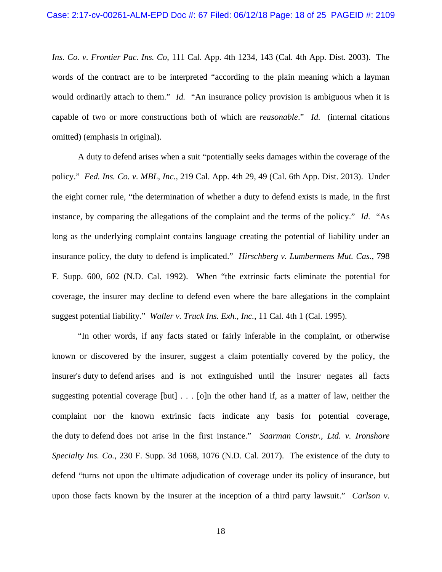*Ins. Co. v. Frontier Pac. Ins. Co*, 111 Cal. App. 4th 1234, 143 (Cal. 4th App. Dist. 2003). The words of the contract are to be interpreted "according to the plain meaning which a layman would ordinarily attach to them." *Id.* "An insurance policy provision is ambiguous when it is capable of two or more constructions both of which are *reasonable*." *Id.* (internal citations omitted) (emphasis in original).

A duty to defend arises when a suit "potentially seeks damages within the coverage of the policy." *Fed. Ins. Co. v. MBL, Inc.*, 219 Cal. App. 4th 29, 49 (Cal. 6th App. Dist. 2013). Under the eight corner rule, "the determination of whether a duty to defend exists is made, in the first instance, by comparing the allegations of the complaint and the terms of the policy." *Id*. "As long as the underlying complaint contains language creating the potential of liability under an insurance policy, the duty to defend is implicated." *Hirschberg v. Lumbermens Mut. Cas.*, 798 F. Supp. 600, 602 (N.D. Cal. 1992). When "the extrinsic facts eliminate the potential for coverage, the insurer may decline to defend even where the bare allegations in the complaint suggest potential liability." *Waller v. Truck Ins. Exh., Inc.*, 11 Cal. 4th 1 (Cal. 1995).

"In other words, if any facts stated or fairly inferable in the complaint, or otherwise known or discovered by the insurer, suggest a claim potentially covered by the policy, the insurer's duty to defend arises and is not extinguished until the insurer negates all facts suggesting potential coverage [but] . . . [o]n the other hand if, as a matter of law, neither the complaint nor the known extrinsic facts indicate any basis for potential coverage, the duty to defend does not arise in the first instance." *Saarman Constr., Ltd. v. Ironshore Specialty Ins. Co.*, 230 F. Supp. 3d 1068, 1076 (N.D. Cal. 2017). The existence of the duty to defend "turns not upon the ultimate adjudication of coverage under its policy of insurance, but upon those facts known by the insurer at the inception of a third party lawsuit." *Carlson v.*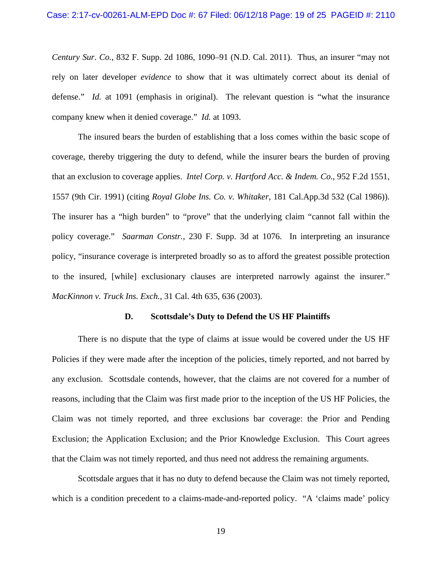*Century Sur. Co.*, 832 F. Supp. 2d 1086, 1090–91 (N.D. Cal. 2011). Thus, an insurer "may not rely on later developer *evidence* to show that it was ultimately correct about its denial of defense." *Id.* at 1091 (emphasis in original). The relevant question is "what the insurance company knew when it denied coverage." *Id.* at 1093.

The insured bears the burden of establishing that a loss comes within the basic scope of coverage, thereby triggering the duty to defend, while the insurer bears the burden of proving that an exclusion to coverage applies. *Intel Corp. v. Hartford Acc. & Indem. Co.*, 952 F.2d 1551, 1557 (9th Cir. 1991) (citing *Royal Globe Ins. Co. v. Whitaker*, 181 Cal.App.3d 532 (Cal 1986)). The insurer has a "high burden" to "prove" that the underlying claim "cannot fall within the policy coverage." *Saarman Constr.*, 230 F. Supp. 3d at 1076. In interpreting an insurance policy, "insurance coverage is interpreted broadly so as to afford the greatest possible protection to the insured, [while] exclusionary clauses are interpreted narrowly against the insurer." *MacKinnon v. Truck Ins. Exch.*, 31 Cal. 4th 635, 636 (2003).

#### **D. Scottsdale's Duty to Defend the US HF Plaintiffs**

There is no dispute that the type of claims at issue would be covered under the US HF Policies if they were made after the inception of the policies, timely reported, and not barred by any exclusion. Scottsdale contends, however, that the claims are not covered for a number of reasons, including that the Claim was first made prior to the inception of the US HF Policies, the Claim was not timely reported, and three exclusions bar coverage: the Prior and Pending Exclusion; the Application Exclusion; and the Prior Knowledge Exclusion. This Court agrees that the Claim was not timely reported, and thus need not address the remaining arguments.

Scottsdale argues that it has no duty to defend because the Claim was not timely reported, which is a condition precedent to a claims-made-and-reported policy. "A 'claims made' policy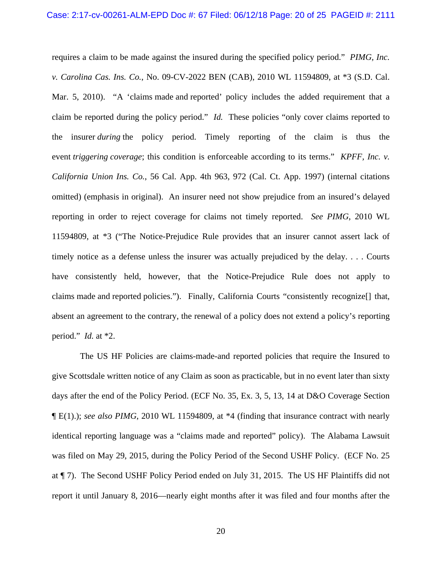requires a claim to be made against the insured during the specified policy period." *PIMG, Inc. v. Carolina Cas. Ins. Co.*, No. 09-CV-2022 BEN (CAB), 2010 WL 11594809, at \*3 (S.D. Cal. Mar. 5, 2010). "A 'claims made and reported' policy includes the added requirement that a claim be reported during the policy period." *Id.* These policies "only cover claims reported to the insurer *during* the policy period. Timely reporting of the claim is thus the event *triggering coverage*; this condition is enforceable according to its terms." *KPFF, Inc. v. California Union Ins. Co.*, 56 Cal. App. 4th 963, 972 (Cal. Ct. App. 1997) (internal citations omitted) (emphasis in original). An insurer need not show prejudice from an insured's delayed reporting in order to reject coverage for claims not timely reported. *See PIMG*, 2010 WL 11594809, at \*3 ("The Notice-Prejudice Rule provides that an insurer cannot assert lack of timely notice as a defense unless the insurer was actually prejudiced by the delay. . . . Courts have consistently held, however, that the Notice-Prejudice Rule does not apply to claims made and reported policies."). Finally, California Courts "consistently recognize[] that, absent an agreement to the contrary, the renewal of a policy does not extend a policy's reporting period." *Id.* at \*2.

 The US HF Policies are claims-made-and reported policies that require the Insured to give Scottsdale written notice of any Claim as soon as practicable, but in no event later than sixty days after the end of the Policy Period. (ECF No. 35, Ex. 3, 5, 13, 14 at D&O Coverage Section ¶ E(1).); *see also PIMG*, 2010 WL 11594809, at \*4 (finding that insurance contract with nearly identical reporting language was a "claims made and reported" policy). The Alabama Lawsuit was filed on May 29, 2015, during the Policy Period of the Second USHF Policy. (ECF No. 25 at ¶ 7). The Second USHF Policy Period ended on July 31, 2015. The US HF Plaintiffs did not report it until January 8, 2016—nearly eight months after it was filed and four months after the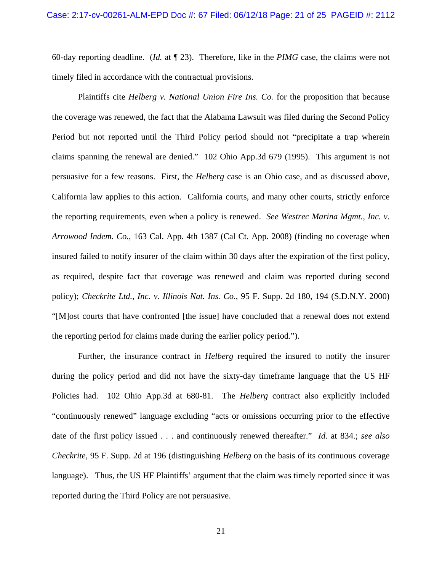60-day reporting deadline. (*Id.* at ¶ 23). Therefore, like in the *PIMG* case, the claims were not timely filed in accordance with the contractual provisions.

Plaintiffs cite *Helberg v. National Union Fire Ins. Co.* for the proposition that because the coverage was renewed, the fact that the Alabama Lawsuit was filed during the Second Policy Period but not reported until the Third Policy period should not "precipitate a trap wherein claims spanning the renewal are denied." 102 Ohio App.3d 679 (1995). This argument is not persuasive for a few reasons. First, the *Helberg* case is an Ohio case, and as discussed above, California law applies to this action. California courts, and many other courts, strictly enforce the reporting requirements, even when a policy is renewed. *See Westrec Marina Mgmt., Inc. v. Arrowood Indem. Co.*, 163 Cal. App. 4th 1387 (Cal Ct. App. 2008) (finding no coverage when insured failed to notify insurer of the claim within 30 days after the expiration of the first policy, as required, despite fact that coverage was renewed and claim was reported during second policy); *Checkrite Ltd., Inc. v. Illinois Nat. Ins. Co.*, 95 F. Supp. 2d 180, 194 (S.D.N.Y. 2000) "[M]ost courts that have confronted [the issue] have concluded that a renewal does not extend the reporting period for claims made during the earlier policy period.").

Further, the insurance contract in *Helberg* required the insured to notify the insurer during the policy period and did not have the sixty-day timeframe language that the US HF Policies had. 102 Ohio App.3d at 680-81. The *Helberg* contract also explicitly included "continuously renewed" language excluding "acts or omissions occurring prior to the effective date of the first policy issued . . . and continuously renewed thereafter." *Id.* at 834.; *see also Checkrite*, 95 F. Supp. 2d at 196 (distinguishing *Helberg* on the basis of its continuous coverage language). Thus, the US HF Plaintiffs' argument that the claim was timely reported since it was reported during the Third Policy are not persuasive.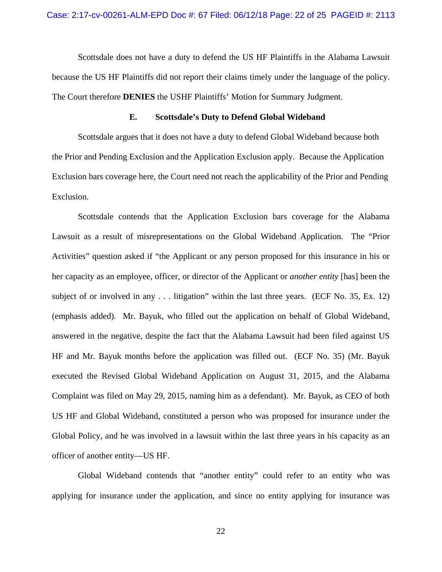Scottsdale does not have a duty to defend the US HF Plaintiffs in the Alabama Lawsuit because the US HF Plaintiffs did not report their claims timely under the language of the policy. The Court therefore **DENIES** the USHF Plaintiffs' Motion for Summary Judgment.

# **E. Scottsdale's Duty to Defend Global Wideband**

 Scottsdale argues that it does not have a duty to defend Global Wideband because both the Prior and Pending Exclusion and the Application Exclusion apply. Because the Application Exclusion bars coverage here, the Court need not reach the applicability of the Prior and Pending Exclusion.

 Scottsdale contends that the Application Exclusion bars coverage for the Alabama Lawsuit as a result of misrepresentations on the Global Wideband Application. The "Prior Activities" question asked if "the Applicant or any person proposed for this insurance in his or her capacity as an employee, officer, or director of the Applicant or *another entity* [has] been the subject of or involved in any . . . litigation" within the last three years. (ECF No. 35, Ex. 12) (emphasis added). Mr. Bayuk, who filled out the application on behalf of Global Wideband, answered in the negative, despite the fact that the Alabama Lawsuit had been filed against US HF and Mr. Bayuk months before the application was filled out. (ECF No. 35) (Mr. Bayuk executed the Revised Global Wideband Application on August 31, 2015, and the Alabama Complaint was filed on May 29, 2015, naming him as a defendant). Mr. Bayuk, as CEO of both US HF and Global Wideband, constituted a person who was proposed for insurance under the Global Policy, and he was involved in a lawsuit within the last three years in his capacity as an officer of another entity—US HF.

 Global Wideband contends that "another entity" could refer to an entity who was applying for insurance under the application, and since no entity applying for insurance was

22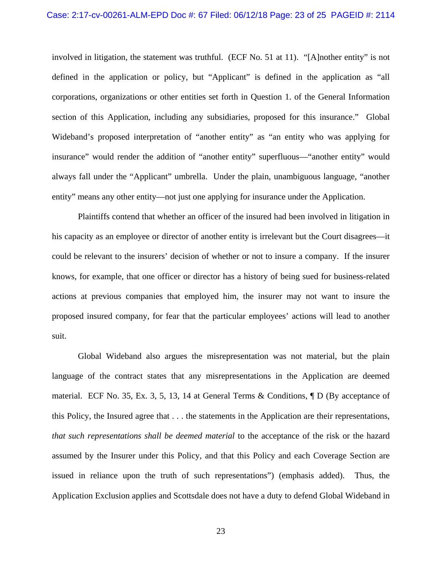#### Case: 2:17-cv-00261-ALM-EPD Doc #: 67 Filed: 06/12/18 Page: 23 of 25 PAGEID #: 2114

involved in litigation, the statement was truthful. (ECF No. 51 at 11). "[A]nother entity" is not defined in the application or policy, but "Applicant" is defined in the application as "all corporations, organizations or other entities set forth in Question 1. of the General Information section of this Application, including any subsidiaries, proposed for this insurance." Global Wideband's proposed interpretation of "another entity" as "an entity who was applying for insurance" would render the addition of "another entity" superfluous—"another entity" would always fall under the "Applicant" umbrella. Under the plain, unambiguous language, "another entity" means any other entity—not just one applying for insurance under the Application.

 Plaintiffs contend that whether an officer of the insured had been involved in litigation in his capacity as an employee or director of another entity is irrelevant but the Court disagrees—it could be relevant to the insurers' decision of whether or not to insure a company. If the insurer knows, for example, that one officer or director has a history of being sued for business-related actions at previous companies that employed him, the insurer may not want to insure the proposed insured company, for fear that the particular employees' actions will lead to another suit.

 Global Wideband also argues the misrepresentation was not material, but the plain language of the contract states that any misrepresentations in the Application are deemed material. ECF No. 35, Ex. 3, 5, 13, 14 at General Terms & Conditions, ¶ D (By acceptance of this Policy, the Insured agree that . . . the statements in the Application are their representations, *that such representations shall be deemed material* to the acceptance of the risk or the hazard assumed by the Insurer under this Policy, and that this Policy and each Coverage Section are issued in reliance upon the truth of such representations") (emphasis added). Thus, the Application Exclusion applies and Scottsdale does not have a duty to defend Global Wideband in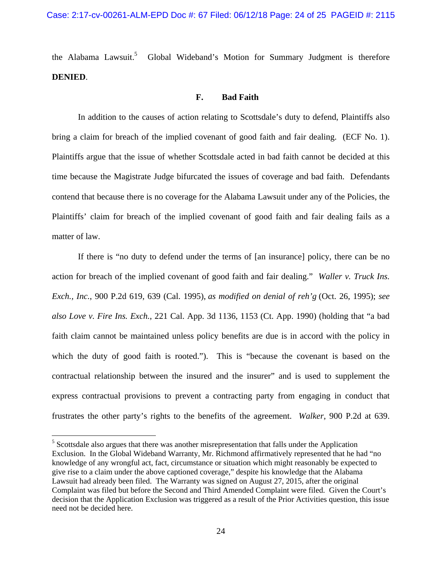the Alabama Lawsuit.<sup>5</sup> Global Wideband's Motion for Summary Judgment is therefore **DENIED**.

# **F. Bad Faith**

In addition to the causes of action relating to Scottsdale's duty to defend, Plaintiffs also bring a claim for breach of the implied covenant of good faith and fair dealing. (ECF No. 1). Plaintiffs argue that the issue of whether Scottsdale acted in bad faith cannot be decided at this time because the Magistrate Judge bifurcated the issues of coverage and bad faith. Defendants contend that because there is no coverage for the Alabama Lawsuit under any of the Policies, the Plaintiffs' claim for breach of the implied covenant of good faith and fair dealing fails as a matter of law.

If there is "no duty to defend under the terms of [an insurance] policy, there can be no action for breach of the implied covenant of good faith and fair dealing." *Waller v. Truck Ins. Exch., Inc.*, 900 P.2d 619, 639 (Cal. 1995), *as modified on denial of reh'g* (Oct. 26, 1995); *see also Love v. Fire Ins. Exch.*, 221 Cal. App. 3d 1136, 1153 (Ct. App. 1990) (holding that "a bad faith claim cannot be maintained unless policy benefits are due is in accord with the policy in which the duty of good faith is rooted."). This is "because the covenant is based on the contractual relationship between the insured and the insurer" and is used to supplement the express contractual provisions to prevent a contracting party from engaging in conduct that frustrates the other party's rights to the benefits of the agreement. *Walker*, 900 P.2d at 639.

 $\overline{a}$ 

 $<sup>5</sup>$  Scottsdale also argues that there was another misrepresentation that falls under the Application</sup> Exclusion. In the Global Wideband Warranty, Mr. Richmond affirmatively represented that he had "no knowledge of any wrongful act, fact, circumstance or situation which might reasonably be expected to give rise to a claim under the above captioned coverage," despite his knowledge that the Alabama Lawsuit had already been filed. The Warranty was signed on August 27, 2015, after the original Complaint was filed but before the Second and Third Amended Complaint were filed. Given the Court's decision that the Application Exclusion was triggered as a result of the Prior Activities question, this issue need not be decided here.